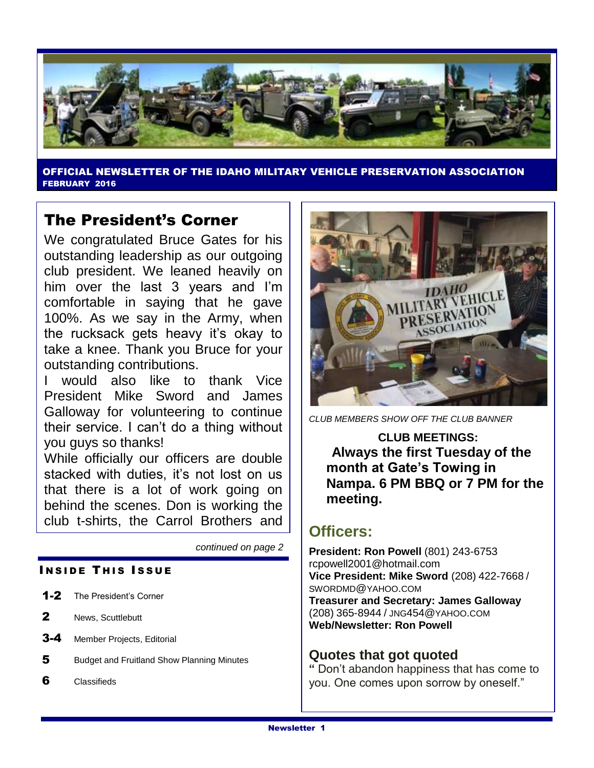

OFFICIAL NEWSLETTER OF THE IDAHO MILITARY VEHICLE PRESERVATION ASSOCIATION FEBRUARY 2016

## The President's Corner

We congratulated Bruce Gates for his outstanding leadership as our outgoing club president. We leaned heavily on him over the last 3 years and I'm comfortable in saying that he gave 100%. As we say in the Army, when the rucksack gets heavy it's okay to take a knee. Thank you Bruce for your outstanding contributions.

I would also like to thank Vice President Mike Sword and James Galloway for volunteering to continue their service. I can't do a thing without you guys so thanks!

While officially our officers are double stacked with duties, it's not lost on us that there is a lot of work going on behind the scenes. Don is working the club t-shirts, the Carrol Brothers and

*continued on page 2*

### **INSIDE THIS ISSUE**

- 1-2 The President's Corner
- 2 News, Scuttlebutt
- 3-4 Member Projects, Editorial
- 5 Budget and Fruitland Show Planning Minutes
- 6 Classifieds



*CLUB MEMBERS SHOW OFF THE CLUB BANNER*

**CLUB MEETINGS: Always the first Tuesday of the month at Gate's Towing in Nampa. 6 PM BBQ or 7 PM for the meeting.**

## **Officers:**

**President: Ron Powell** (801) 243-6753 rcpowell2001@hotmail.com **Vice President: Mike Sword** (208) 422-7668 / SWORDMD@YAHOO.COM **Treasurer and Secretary: James Galloway**  (208) 365-8944 / JNG454@YAHOO.COM **Web/Newsletter: Ron Powell**

### **Quotes that got quoted**

**"** Don't abandon happiness that has come to you. One comes upon sorrow by oneself."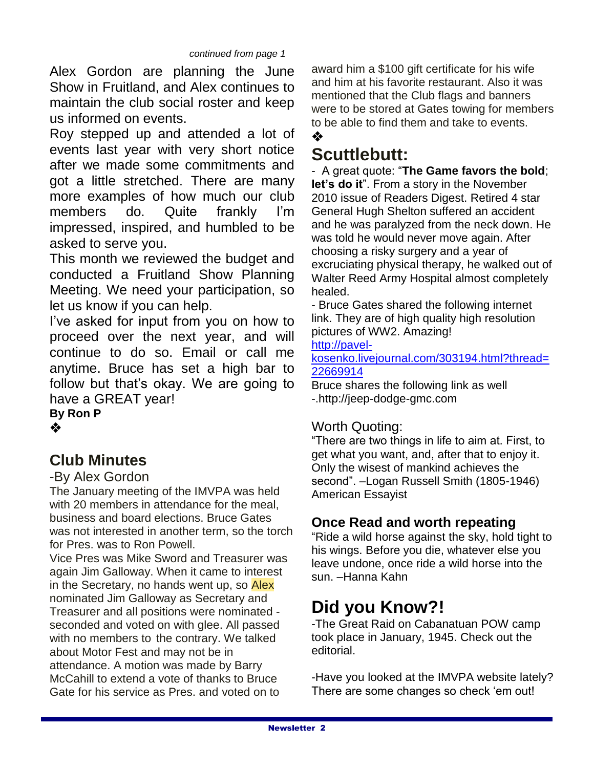Alex Gordon are planning the June Show in Fruitland, and Alex continues to maintain the club social roster and keep us informed on events.

Roy stepped up and attended a lot of events last year with very short notice after we made some commitments and got a little stretched. There are many more examples of how much our club members do. Quite frankly I'm impressed, inspired, and humbled to be asked to serve you.

This month we reviewed the budget and conducted a Fruitland Show Planning Meeting. We need your participation, so let us know if you can help.

I've asked for input from you on how to proceed over the next year, and will continue to do so. Email or call me anytime. Bruce has set a high bar to follow but that's okay. We are going to have a GREAT year!

**By Ron P** ❖

# **Club Minutes**

### -By Alex Gordon

The January meeting of the IMVPA was held with 20 members in attendance for the meal. business and board elections. Bruce Gates was not interested in another term, so the torch for Pres. was to Ron Powell.

Vice Pres was Mike Sword and Treasurer was again Jim Galloway. When it came to interest in the Secretary, no hands went up, so Alex nominated Jim Galloway as Secretary and Treasurer and all positions were nominated seconded and voted on with glee. All passed with no members to the contrary. We talked about Motor Fest and may not be in attendance. A motion was made by Barry McCahill to extend a vote of thanks to Bruce Gate for his service as Pres. and voted on to

award him a \$100 gift certificate for his wife and him at his favorite restaurant. Also it was mentioned that the Club flags and banners were to be stored at Gates towing for members to be able to find them and take to events.

# **Scuttlebutt:**

❖

- A great quote: "**The Game favors the bold**; **let's do it**". From a story in the November 2010 issue of Readers Digest. Retired 4 star General Hugh Shelton suffered an accident and he was paralyzed from the neck down. He was told he would never move again. After choosing a risky surgery and a year of excruciating physical therapy, he walked out of Walter Reed Army Hospital almost completely healed.

- Bruce Gates shared the following internet link. They are of high quality high resolution pictures of WW2. Amazing!

[http://pavel-](http://pavel-kosenko.livejournal.com/303194.html?thread=22669914)

[kosenko.livejournal.com/303194.html?thread=](http://pavel-kosenko.livejournal.com/303194.html?thread=22669914) [22669914](http://pavel-kosenko.livejournal.com/303194.html?thread=22669914)

Bruce shares the following link as well -.http://jeep-dodge-gmc.com

## Worth Quoting:

"There are two things in life to aim at. First, to get what you want, and, after that to enjoy it. Only the wisest of mankind achieves the second". –Logan Russell Smith (1805-1946) American Essayist

## **Once Read and worth repeating**

"Ride a wild horse against the sky, hold tight to his wings. Before you die, whatever else you leave undone, once ride a wild horse into the sun. –Hanna Kahn

# **Did you Know?!**

-The Great Raid on Cabanatuan POW camp took place in January, 1945. Check out the editorial.

-Have you looked at the IMVPA website lately? There are some changes so check 'em out!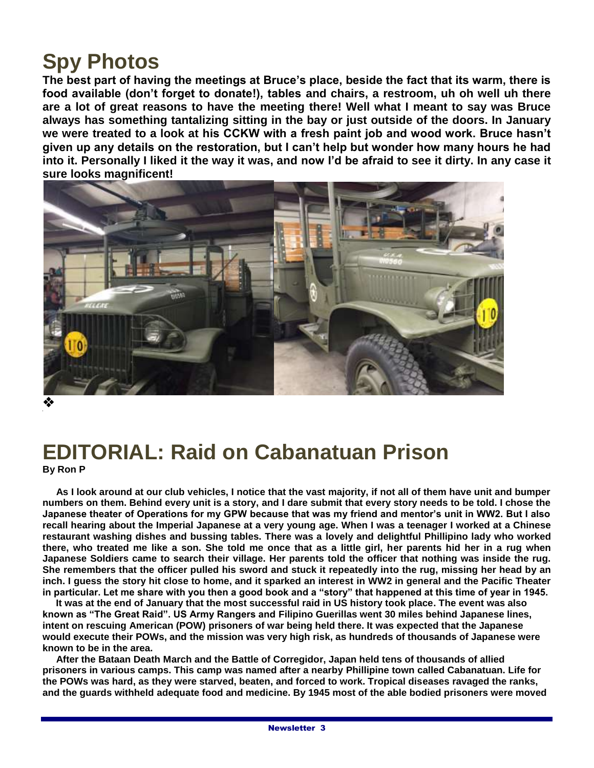# **Spy Photos**

**The best part of having the meetings at Bruce's place, beside the fact that its warm, there is food available (don't forget to donate!), tables and chairs, a restroom, uh oh well uh there are a lot of great reasons to have the meeting there! Well what I meant to say was Bruce always has something tantalizing sitting in the bay or just outside of the doors. In January we were treated to a look at his CCKW with a fresh paint job and wood work. Bruce hasn't given up any details on the restoration, but I can't help but wonder how many hours he had into it. Personally I liked it the way it was, and now I'd be afraid to see it dirty. In any case it sure looks magnificent!**



❖

## **EDITORIAL: Raid on Cabanatuan Prison By Ron P**

 **As I look around at our club vehicles, I notice that the vast majority, if not all of them have unit and bumper numbers on them. Behind every unit is a story, and I dare submit that every story needs to be told. I chose the Japanese theater of Operations for my GPW because that was my friend and mentor's unit in WW2. But I also recall hearing about the Imperial Japanese at a very young age. When I was a teenager I worked at a Chinese restaurant washing dishes and bussing tables. There was a lovely and delightful Phillipino lady who worked there, who treated me like a son. She told me once that as a little girl, her parents hid her in a rug when Japanese Soldiers came to search their village. Her parents told the officer that nothing was inside the rug. She remembers that the officer pulled his sword and stuck it repeatedly into the rug, missing her head by an inch. I guess the story hit close to home, and it sparked an interest in WW2 in general and the Pacific Theater in particular. Let me share with you then a good book and a "story" that happened at this time of year in 1945.**

 **It was at the end of January that the most successful raid in US history took place. The event was also known as "The Great Raid". US Army Rangers and Filipino Guerillas went 30 miles behind Japanese lines, intent on rescuing American (POW) prisoners of war being held there. It was expected that the Japanese would execute their POWs, and the mission was very high risk, as hundreds of thousands of Japanese were known to be in the area.**

 **After the Bataan Death March and the Battle of Corregidor, Japan held tens of thousands of allied prisoners in various camps. This camp was named after a nearby Phillipine town called Cabanatuan. Life for the POWs was hard, as they were starved, beaten, and forced to work. Tropical diseases ravaged the ranks, and the guards withheld adequate food and medicine. By 1945 most of the able bodied prisoners were moved**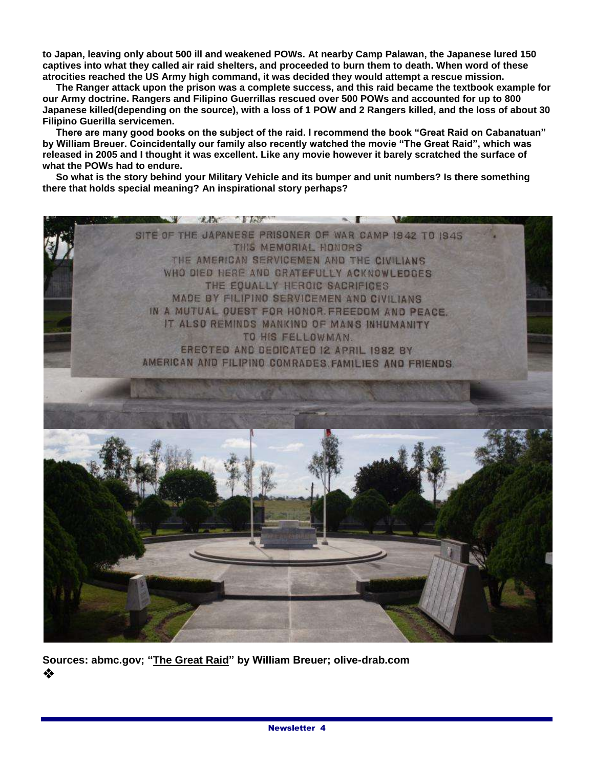**to Japan, leaving only about 500 ill and weakened POWs. At nearby Camp Palawan, the Japanese lured 150 captives into what they called air raid shelters, and proceeded to burn them to death. When word of these atrocities reached the US Army high command, it was decided they would attempt a rescue mission.**

 **The Ranger attack upon the prison was a complete success, and this raid became the textbook example for our Army doctrine. Rangers and Filipino Guerrillas rescued over 500 POWs and accounted for up to 800 Japanese killed(depending on the source), with a loss of 1 POW and 2 Rangers killed, and the loss of about 30 Filipino Guerilla servicemen.**

 **There are many good books on the subject of the raid. I recommend the book "Great Raid on Cabanatuan" by William Breuer. Coincidentally our family also recently watched the movie "The Great Raid", which was released in 2005 and I thought it was excellent. Like any movie however it barely scratched the surface of what the POWs had to endure.**

 **So what is the story behind your Military Vehicle and its bumper and unit numbers? Is there something there that holds special meaning? An inspirational story perhaps?**



**Sources: abmc.gov; "The Great Raid" by William Breuer; olive-drab.com** ❖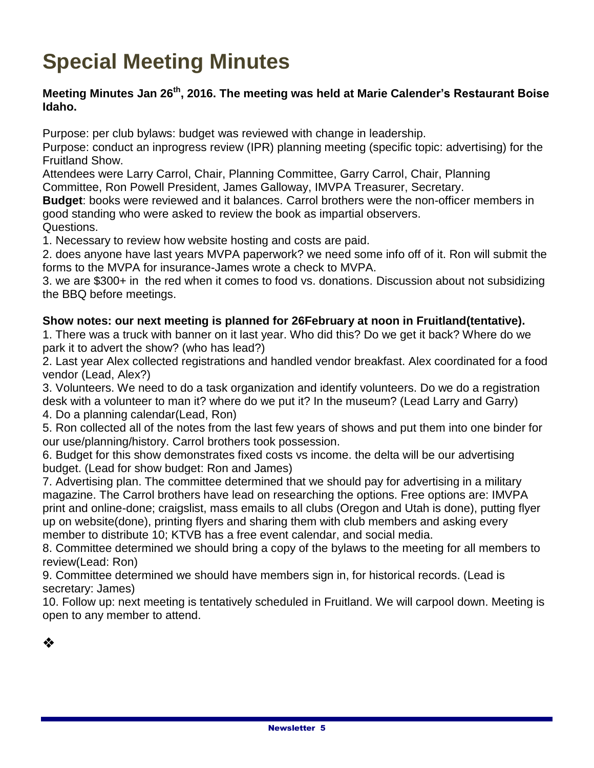# **Special Meeting Minutes**

### **Meeting Minutes Jan 26th , 2016. The meeting was held at Marie Calender's Restaurant Boise Idaho.**

Purpose: per club bylaws: budget was reviewed with change in leadership.

Purpose: conduct an inprogress review (IPR) planning meeting (specific topic: advertising) for the Fruitland Show.

Attendees were Larry Carrol, Chair, Planning Committee, Garry Carrol, Chair, Planning Committee, Ron Powell President, James Galloway, IMVPA Treasurer, Secretary.

**Budget**: books were reviewed and it balances. Carrol brothers were the non-officer members in good standing who were asked to review the book as impartial observers.

Questions.

1. Necessary to review how website hosting and costs are paid.

2. does anyone have last years MVPA paperwork? we need some info off of it. Ron will submit the forms to the MVPA for insurance-James wrote a check to MVPA.

3. we are \$300+ in the red when it comes to food vs. donations. Discussion about not subsidizing the BBQ before meetings.

### **Show notes: our next meeting is planned for 26February at noon in Fruitland(tentative).**

1. There was a truck with banner on it last year. Who did this? Do we get it back? Where do we park it to advert the show? (who has lead?)

2. Last year Alex collected registrations and handled vendor breakfast. Alex coordinated for a food vendor (Lead, Alex?)

3. Volunteers. We need to do a task organization and identify volunteers. Do we do a registration desk with a volunteer to man it? where do we put it? In the museum? (Lead Larry and Garry) 4. Do a planning calendar(Lead, Ron)

5. Ron collected all of the notes from the last few years of shows and put them into one binder for our use/planning/history. Carrol brothers took possession.

6. Budget for this show demonstrates fixed costs vs income. the delta will be our advertising budget. (Lead for show budget: Ron and James)

7. Advertising plan. The committee determined that we should pay for advertising in a military magazine. The Carrol brothers have lead on researching the options. Free options are: IMVPA print and online-done; craigslist, mass emails to all clubs (Oregon and Utah is done), putting flyer up on website(done), printing flyers and sharing them with club members and asking every member to distribute 10; KTVB has a free event calendar, and social media.

8. Committee determined we should bring a copy of the bylaws to the meeting for all members to review(Lead: Ron)

9. Committee determined we should have members sign in, for historical records. (Lead is secretary: James)

10. Follow up: next meeting is tentatively scheduled in Fruitland. We will carpool down. Meeting is open to any member to attend.